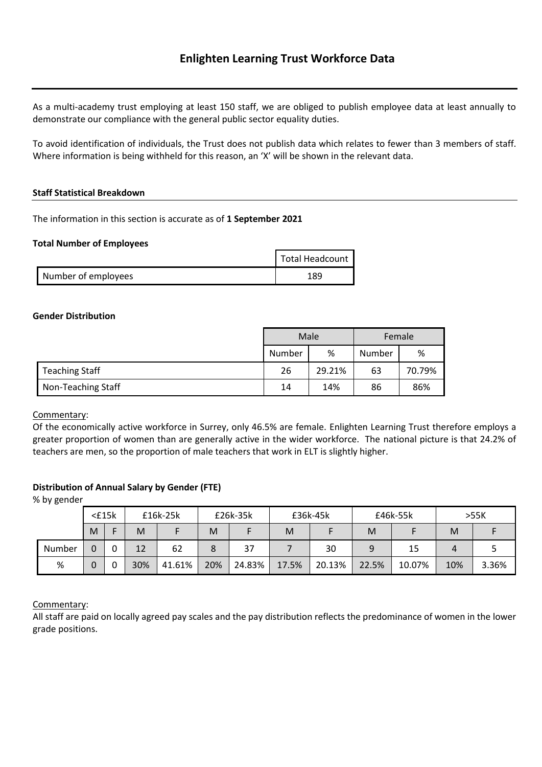As a multi-academy trust employing at least 150 staff, we are obliged to publish employee data at least annually to demonstrate our compliance with the general public sector equality duties.

To avoid identification of individuals, the Trust does not publish data which relates to fewer than 3 members of staff. Where information is being withheld for this reason, an 'X' will be shown in the relevant data.

#### **Staff Statistical Breakdown**

The information in this section is accurate as of **1 September 2021**

#### **Total Number of Employees**

|                     | Total Headcount |
|---------------------|-----------------|
| Number of employees | 189             |

#### **Gender Distribution**

|                       |        | Male   | Female |        |  |
|-----------------------|--------|--------|--------|--------|--|
|                       | Number | %      | Number | %      |  |
| <b>Teaching Staff</b> | 26     | 29.21% | 63     | 70.79% |  |
| Non-Teaching Staff    | 14     | 14%    | 86     | 86%    |  |

Commentary:

Of the economically active workforce in Surrey, only 46.5% are female. Enlighten Learning Trust therefore employs a greater proportion of women than are generally active in the wider workforce. The national picture is that 24.2% of teachers are men, so the proportion of male teachers that work in ELT is slightly higher.

### **Distribution of Annual Salary by Gender (FTE)**

% by gender

|        | $<$ £15 $k$ |   | £16k-25k |        | £26k-35k |        |       | £36k-45k<br>£46k-55k<br>>55K |       |        |     |       |
|--------|-------------|---|----------|--------|----------|--------|-------|------------------------------|-------|--------|-----|-------|
|        | M           |   | M        |        | M        |        | M     |                              | M     |        | M   |       |
| Number | 0           | 0 | 12       | 62     |          | 37     |       | 30                           | 9     | 15     |     |       |
| %      | 0           |   | 30%      | 41.61% | 20%      | 24.83% | 17.5% | 20.13%                       | 22.5% | 10.07% | 10% | 3.36% |

### Commentary:

All staff are paid on locally agreed pay scales and the pay distribution reflects the predominance of women in the lower grade positions.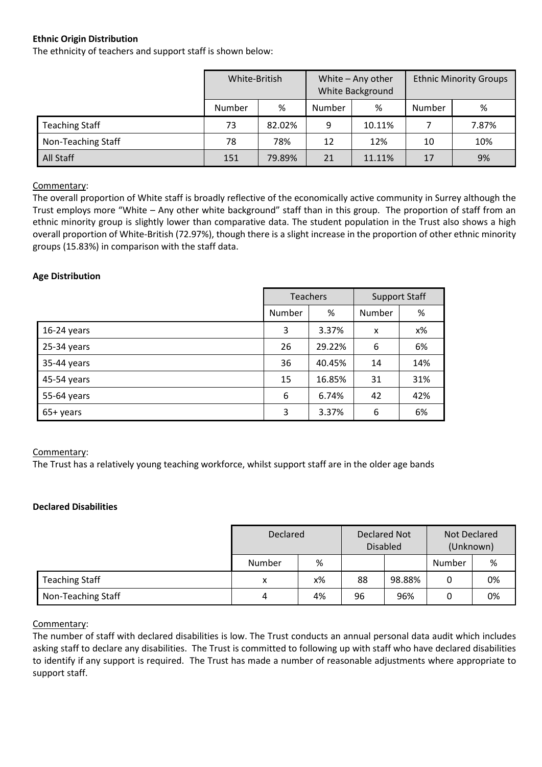## **Ethnic Origin Distribution**

The ethnicity of teachers and support staff is shown below:

|                       | White-British |        | White - Any other<br>White Background |        | <b>Ethnic Minority Groups</b> |       |
|-----------------------|---------------|--------|---------------------------------------|--------|-------------------------------|-------|
|                       | Number        | %      | Number                                | %      | Number                        | %     |
| <b>Teaching Staff</b> | 73            | 82.02% | 9                                     | 10.11% |                               | 7.87% |
| Non-Teaching Staff    | 78%<br>78     |        | 12                                    | 12%    | 10                            | 10%   |
| All Staff             | 151           | 79.89% | 21                                    | 11.11% | 17                            | 9%    |

### Commentary:

The overall proportion of White staff is broadly reflective of the economically active community in Surrey although the Trust employs more "White – Any other white background" staff than in this group. The proportion of staff from an ethnic minority group is slightly lower than comparative data. The student population in the Trust also shows a high overall proportion of White-British (72.97%), though there is a slight increase in the proportion of other ethnic minority groups (15.83%) in comparison with the staff data.

### **Age Distribution**

|               |        | <b>Teachers</b> | <b>Support Staff</b> |       |  |
|---------------|--------|-----------------|----------------------|-------|--|
|               | Number | %               | Number               | %     |  |
| $16-24$ years | 3      | 3.37%           | X                    | $x\%$ |  |
| 25-34 years   | 26     | 29.22%          | 6                    | 6%    |  |
| 35-44 years   | 36     | 40.45%          | 14                   | 14%   |  |
| 45-54 years   | 15     | 16.85%          | 31                   | 31%   |  |
| 55-64 years   | 6      | 6.74%           | 42                   | 42%   |  |
| 65+ years     | 3      | 3.37%           | 6                    | 6%    |  |

### Commentary:

The Trust has a relatively young teaching workforce, whilst support staff are in the older age bands

### **Declared Disabilities**

|                       | Declared |    | <b>Declared Not</b><br><b>Disabled</b> |        | Not Declared<br>(Unknown) |    |
|-----------------------|----------|----|----------------------------------------|--------|---------------------------|----|
|                       | Number   | %  |                                        |        | Number                    | %  |
| <b>Teaching Staff</b> | x        | х% | 88                                     | 98.88% | 0                         | 0% |
| Non-Teaching Staff    | 4        | 4% | 96                                     | 96%    | 0                         | 0% |

### Commentary:

The number of staff with declared disabilities is low. The Trust conducts an annual personal data audit which includes asking staff to declare any disabilities. The Trust is committed to following up with staff who have declared disabilities to identify if any support is required. The Trust has made a number of reasonable adjustments where appropriate to support staff.